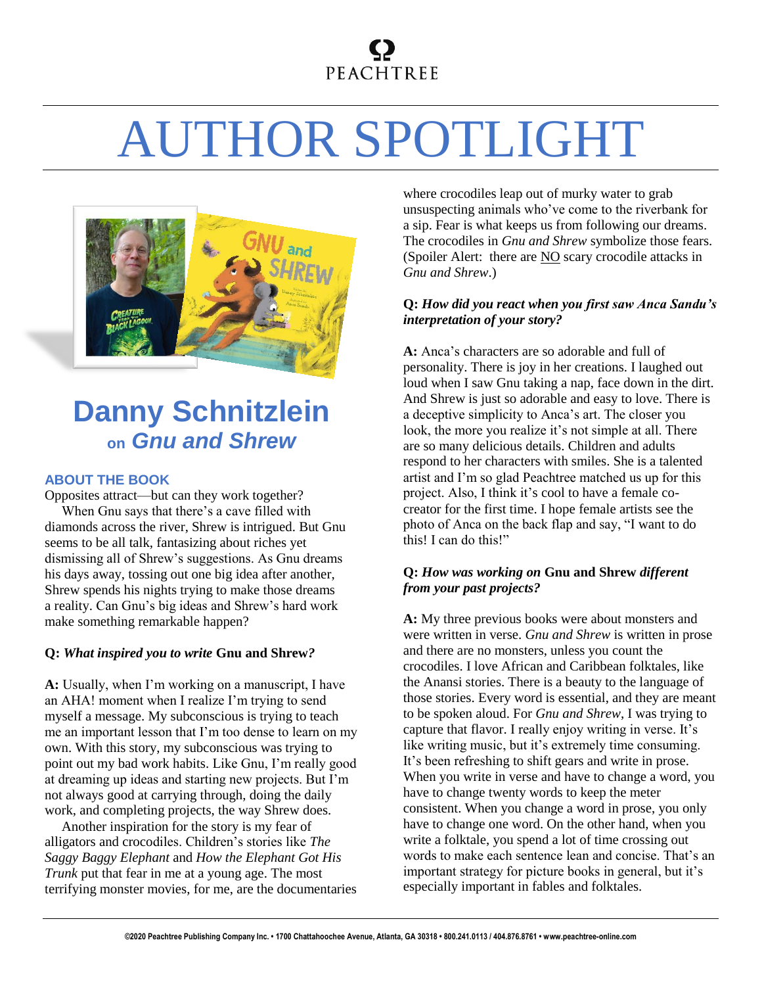## **PEACHTREE**

# AUTHOR SPOTLIGHT



### **Danny Schnitzlein on** *Gnu and Shrew*

#### **ABOUT THE BOOK**

Opposites attract—but can they work together? When Gnu says that there's a cave filled with diamonds across the river, Shrew is intrigued. But Gnu seems to be all talk, fantasizing about riches yet dismissing all of Shrew's suggestions. As Gnu dreams his days away, tossing out one big idea after another, Shrew spends his nights trying to make those dreams a reality. Can Gnu's big ideas and Shrew's hard work make something remarkable happen?

#### **Q:** *What inspired you to write* **Gnu and Shrew***?*

**A:** Usually, when I'm working on a manuscript, I have an AHA! moment when I realize I'm trying to send myself a message. My subconscious is trying to teach me an important lesson that I'm too dense to learn on my own. With this story, my subconscious was trying to point out my bad work habits. Like Gnu, I'm really good at dreaming up ideas and starting new projects. But I'm not always good at carrying through, doing the daily work, and completing projects, the way Shrew does.

Another inspiration for the story is my fear of alligators and crocodiles. Children's stories like *The Saggy Baggy Elephant* and *How the Elephant Got His Trunk* put that fear in me at a young age. The most terrifying monster movies, for me, are the documentaries where crocodiles leap out of murky water to grab unsuspecting animals who've come to the riverbank for a sip. Fear is what keeps us from following our dreams. The crocodiles in *Gnu and Shrew* symbolize those fears. (Spoiler Alert: there are NO scary crocodile attacks in *Gnu and Shrew*.)

#### **Q:** *How did you react when you first saw Anca Sandu's interpretation of your story?*

**A:** Anca's characters are so adorable and full of personality. There is joy in her creations. I laughed out loud when I saw Gnu taking a nap, face down in the dirt. And Shrew is just so adorable and easy to love. There is a deceptive simplicity to Anca's art. The closer you look, the more you realize it's not simple at all. There are so many delicious details. Children and adults respond to her characters with smiles. She is a talented artist and I'm so glad Peachtree matched us up for this project. Also, I think it's cool to have a female cocreator for the first time. I hope female artists see the photo of Anca on the back flap and say, "I want to do this! I can do this!"

#### **Q:** *How was working on* **Gnu and Shrew** *different from your past projects?*

**A:** My three previous books were about monsters and were written in verse. *Gnu and Shrew* is written in prose and there are no monsters, unless you count the crocodiles. I love African and Caribbean folktales, like the Anansi stories. There is a beauty to the language of those stories. Every word is essential, and they are meant to be spoken aloud. For *Gnu and Shrew*, I was trying to capture that flavor. I really enjoy writing in verse. It's like writing music, but it's extremely time consuming. It's been refreshing to shift gears and write in prose. When you write in verse and have to change a word, you have to change twenty words to keep the meter consistent. When you change a word in prose, you only have to change one word. On the other hand, when you write a folktale, you spend a lot of time crossing out words to make each sentence lean and concise. That's an important strategy for picture books in general, but it's especially important in fables and folktales.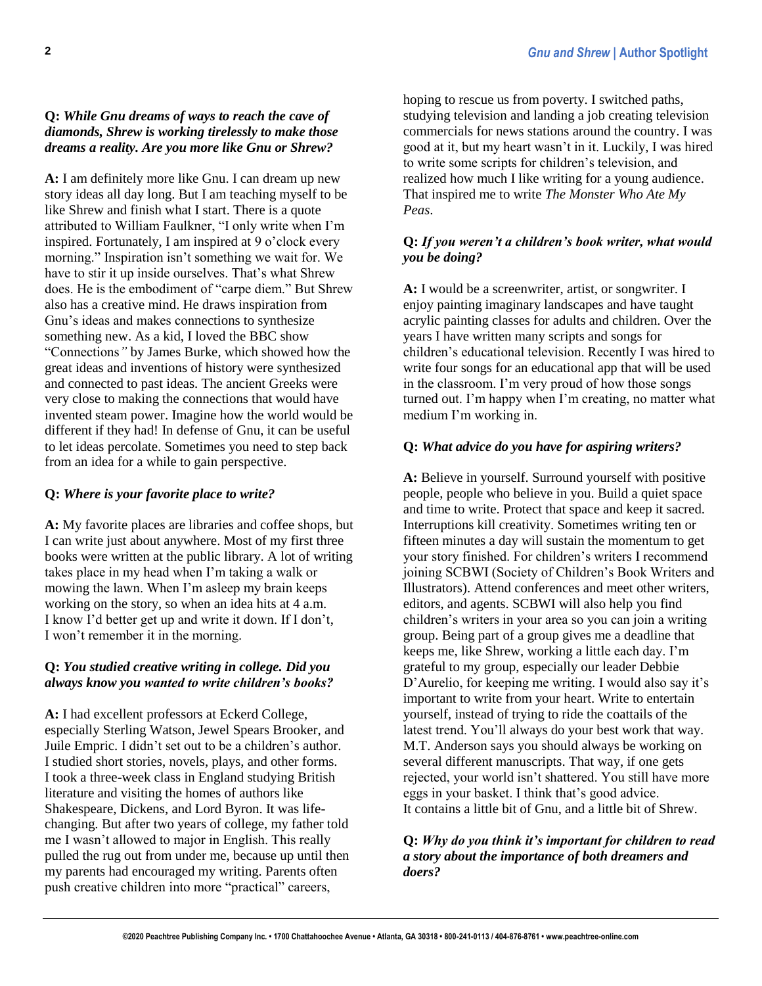#### **Q:** *While Gnu dreams of ways to reach the cave of diamonds, Shrew is working tirelessly to make those dreams a reality. Are you more like Gnu or Shrew?*

**A:** I am definitely more like Gnu. I can dream up new story ideas all day long. But I am teaching myself to be like Shrew and finish what I start. There is a quote attributed to William Faulkner, "I only write when I'm inspired. Fortunately, I am inspired at 9 o'clock every morning." Inspiration isn't something we wait for. We have to stir it up inside ourselves. That's what Shrew does. He is the embodiment of "carpe diem." But Shrew also has a creative mind. He draws inspiration from Gnu's ideas and makes connections to synthesize something new. As a kid, I loved the BBC show "Connections*"* by James Burke, which showed how the great ideas and inventions of history were synthesized and connected to past ideas. The ancient Greeks were very close to making the connections that would have invented steam power. Imagine how the world would be different if they had! In defense of Gnu, it can be useful to let ideas percolate. Sometimes you need to step back from an idea for a while to gain perspective.

#### **Q:** *Where is your favorite place to write?*

**A:** My favorite places are libraries and coffee shops, but I can write just about anywhere. Most of my first three books were written at the public library. A lot of writing takes place in my head when I'm taking a walk or mowing the lawn. When I'm asleep my brain keeps working on the story, so when an idea hits at 4 a.m. I know I'd better get up and write it down. If I don't, I won't remember it in the morning.

#### **Q:** *You studied creative writing in college. Did you always know you wanted to write children's books?*

**A:** I had excellent professors at Eckerd College, especially Sterling Watson, Jewel Spears Brooker, and Juile Empric. I didn't set out to be a children's author. I studied short stories, novels, plays, and other forms. I took a three-week class in England studying British literature and visiting the homes of authors like Shakespeare, Dickens, and Lord Byron. It was lifechanging. But after two years of college, my father told me I wasn't allowed to major in English. This really pulled the rug out from under me, because up until then my parents had encouraged my writing. Parents often push creative children into more "practical" careers,

hoping to rescue us from poverty. I switched paths, studying television and landing a job creating television commercials for news stations around the country. I was good at it, but my heart wasn't in it. Luckily, I was hired to write some scripts for children's television, and realized how much I like writing for a young audience. That inspired me to write *The Monster Who Ate My Peas*.

#### **Q:** *If you weren't a children's book writer, what would you be doing?*

**A:** I would be a screenwriter, artist, or songwriter. I enjoy painting imaginary landscapes and have taught acrylic painting classes for adults and children. Over the years I have written many scripts and songs for children's educational television. Recently I was hired to write four songs for an educational app that will be used in the classroom. I'm very proud of how those songs turned out. I'm happy when I'm creating, no matter what medium I'm working in.

#### **Q:** *What advice do you have for aspiring writers?*

**A:** Believe in yourself. Surround yourself with positive people, people who believe in you. Build a quiet space and time to write. Protect that space and keep it sacred. Interruptions kill creativity. Sometimes writing ten or fifteen minutes a day will sustain the momentum to get your story finished. For children's writers I recommend joining SCBWI (Society of Children's Book Writers and Illustrators). Attend conferences and meet other writers, editors, and agents. SCBWI will also help you find children's writers in your area so you can join a writing group. Being part of a group gives me a deadline that keeps me, like Shrew, working a little each day. I'm grateful to my group, especially our leader Debbie D'Aurelio, for keeping me writing. I would also say it's important to write from your heart. Write to entertain yourself, instead of trying to ride the coattails of the latest trend. You'll always do your best work that way. M.T. Anderson says you should always be working on several different manuscripts. That way, if one gets rejected, your world isn't shattered. You still have more eggs in your basket. I think that's good advice. It contains a little bit of Gnu, and a little bit of Shrew.

#### **Q:** *Why do you think it's important for children to read a story about the importance of both dreamers and doers?*